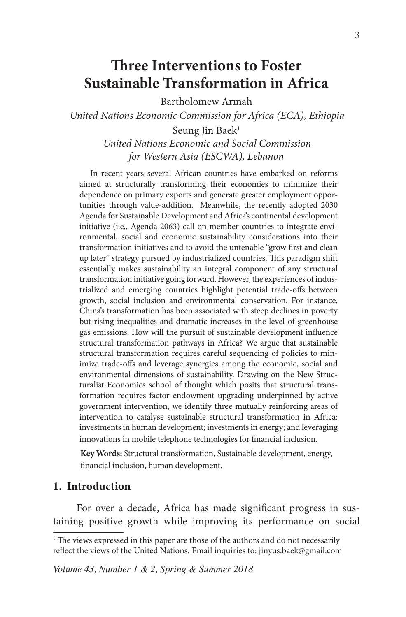# **Three Interventions to Foster Sustainable Transformation in Africa**

Bartholomew Armah *United Nations Economic Commission for Africa (ECA), Ethiopia* Seung Jin Baek<sup>1</sup> *United Nations Economic and Social Commission* 

*for Western Asia (ESCWA), Lebanon*

In recent years several African countries have embarked on reforms aimed at structurally transforming their economies to minimize their dependence on primary exports and generate greater employment opportunities through value-addition. Meanwhile, the recently adopted 2030 Agenda for Sustainable Development and Africa's continental development initiative (i.e., Agenda 2063) call on member countries to integrate environmental, social and economic sustainability considerations into their transformation initiatives and to avoid the untenable "grow first and clean up later" strategy pursued by industrialized countries. This paradigm shift essentially makes sustainability an integral component of any structural transformation initiative going forward. However, the experiences of industrialized and emerging countries highlight potential trade-offs between growth, social inclusion and environmental conservation. For instance, China's transformation has been associated with steep declines in poverty but rising inequalities and dramatic increases in the level of greenhouse gas emissions. How will the pursuit of sustainable development influence structural transformation pathways in Africa? We argue that sustainable structural transformation requires careful sequencing of policies to minimize trade-offs and leverage synergies among the economic, social and environmental dimensions of sustainability. Drawing on the New Structuralist Economics school of thought which posits that structural transformation requires factor endowment upgrading underpinned by active government intervention, we identify three mutually reinforcing areas of intervention to catalyse sustainable structural transformation in Africa: investments in human development; investments in energy; and leveraging innovations in mobile telephone technologies for financial inclusion.

**Key Words:** Structural transformation, Sustainable development, energy, financial inclusion, human development.

# **1. Introduction**

For over a decade, Africa has made significant progress in sustaining positive growth while improving its performance on social

<sup>&</sup>lt;sup>1</sup> The views expressed in this paper are those of the authors and do not necessarily reflect the views of the United Nations. Email inquiries to: jinyus.baek@gmail.com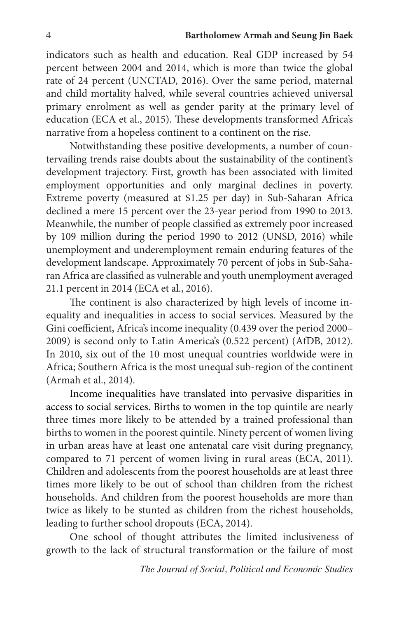indicators such as health and education. Real GDP increased by 54 percent between 2004 and 2014, which is more than twice the global rate of 24 percent (UNCTAD, 2016). Over the same period, maternal and child mortality halved, while several countries achieved universal primary enrolment as well as gender parity at the primary level of education (ECA et al., 2015). These developments transformed Africa's narrative from a hopeless continent to a continent on the rise.

Notwithstanding these positive developments, a number of countervailing trends raise doubts about the sustainability of the continent's development trajectory. First, growth has been associated with limited employment opportunities and only marginal declines in poverty. Extreme poverty (measured at \$1.25 per day) in Sub-Saharan Africa declined a mere 15 percent over the 23-year period from 1990 to 2013. Meanwhile, the number of people classified as extremely poor increased by 109 million during the period 1990 to 2012 (UNSD, 2016) while unemployment and underemployment remain enduring features of the development landscape. Approximately 70 percent of jobs in Sub-Saharan Africa are classified as vulnerable and youth unemployment averaged 21.1 percent in 2014 (ECA et al., 2016).

The continent is also characterized by high levels of income inequality and inequalities in access to social services. Measured by the Gini coefficient, Africa's income inequality (0.439 over the period 2000– 2009) is second only to Latin America's (0.522 percent) (AfDB, 2012). In 2010, six out of the 10 most unequal countries worldwide were in Africa; Southern Africa is the most unequal sub-region of the continent (Armah et al., 2014).

Income inequalities have translated into pervasive disparities in access to social services. Births to women in the top quintile are nearly three times more likely to be attended by a trained professional than births to women in the poorest quintile. Ninety percent of women living in urban areas have at least one antenatal care visit during pregnancy, compared to 71 percent of women living in rural areas (ECA, 2011). Children and adolescents from the poorest households are at least three times more likely to be out of school than children from the richest households. And children from the poorest households are more than twice as likely to be stunted as children from the richest households, leading to further school dropouts (ECA, 2014).

One school of thought attributes the limited inclusiveness of growth to the lack of structural transformation or the failure of most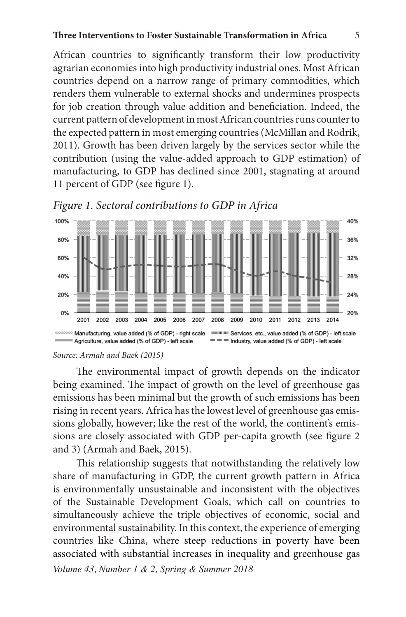African countries to significantly transform their low productivity agrarian economies into high productivity industrial ones. Most African countries depend on a narrow range of primary commodities, which renders them vulnerable to external shocks and undermines prospects for job creation through value addition and beneficiation. Indeed, the current pattern of development in most African countries runs counter to the expected pattern in most emerging countries (McMillan and Rodrik, 2011). Growth has been driven largely by the services sector while the contribution (using the value-added approach to GDP estimation) of manufacturing, to GDP has declined since 2001, stagnating at around 11 percent of GDP (see figure 1).



*Figure 1. Sectoral contributions to GDP in Africa*

The environmental impact of growth depends on the indicator being examined. The impact of growth on the level of greenhouse gas emissions has been minimal but the growth of such emissions has been rising in recent years. Africa has the lowest level of greenhouse gas emissions globally, however; like the rest of the world, the continent's emissions are closely associated with GDP per-capita growth (see figure 2 and 3) (Armah and Baek, 2015).

This relationship suggests that notwithstanding the relatively low share of manufacturing in GDP, the current growth pattern in Africa is environmentally unsustainable and inconsistent with the objectives of the Sustainable Development Goals, which call on countries to simultaneously achieve the triple objectives of economic, social and environmental sustainability. In this context, the experience of emerging countries like China, where steep reductions in poverty have been associated with substantial increases in inequality and greenhouse gas

*Source: Armah and Baek (2015)*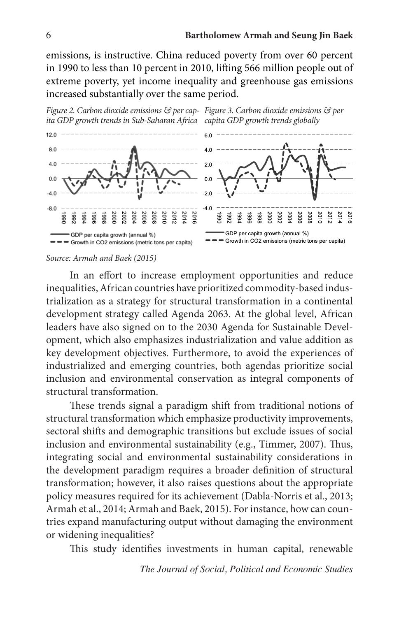emissions, is instructive. China reduced poverty from over 60 percent in 1990 to less than 10 percent in 2010, lifting 566 million people out of extreme poverty, yet income inequality and greenhouse gas emissions increased substantially over the same period.



*Source: Armah and Baek (2015)*

In an effort to increase employment opportunities and reduce inequalities, African countries have prioritized commodity-based industrialization as a strategy for structural transformation in a continental development strategy called Agenda 2063. At the global level, African leaders have also signed on to the 2030 Agenda for Sustainable Development, which also emphasizes industrialization and value addition as key development objectives. Furthermore, to avoid the experiences of industrialized and emerging countries, both agendas prioritize social inclusion and environmental conservation as integral components of structural transformation.

These trends signal a paradigm shift from traditional notions of structural transformation which emphasize productivity improvements, sectoral shifts and demographic transitions but exclude issues of social inclusion and environmental sustainability (e.g., Timmer, 2007). Thus, integrating social and environmental sustainability considerations in the development paradigm requires a broader definition of structural transformation; however, it also raises questions about the appropriate policy measures required for its achievement (Dabla-Norris et al., 2013; Armah et al., 2014; Armah and Baek, 2015). For instance, how can countries expand manufacturing output without damaging the environment or widening inequalities?

This study identifies investments in human capital, renewable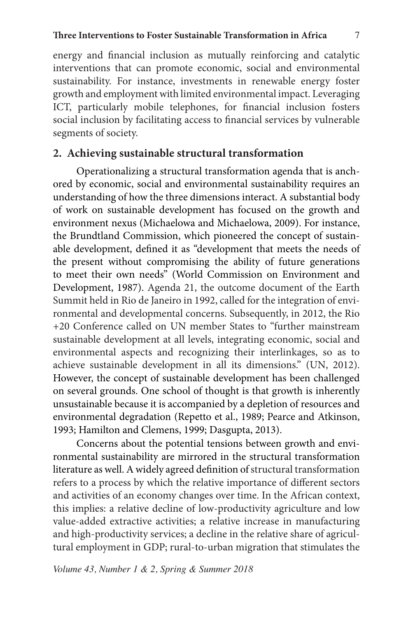energy and financial inclusion as mutually reinforcing and catalytic interventions that can promote economic, social and environmental sustainability. For instance, investments in renewable energy foster growth and employment with limited environmental impact. Leveraging ICT, particularly mobile telephones, for financial inclusion fosters social inclusion by facilitating access to financial services by vulnerable segments of society.

#### **2. Achieving sustainable structural transformation**

Operationalizing a structural transformation agenda that is anchored by economic, social and environmental sustainability requires an understanding of how the three dimensions interact. A substantial body of work on sustainable development has focused on the growth and environment nexus (Michaelowa and Michaelowa, 2009). For instance, the Brundtland Commission, which pioneered the concept of sustainable development, defined it as "development that meets the needs of the present without compromising the ability of future generations to meet their own needs" (World Commission on Environment and Development, 1987). Agenda 21, the outcome document of the Earth Summit held in Rio de Janeiro in 1992, called for the integration of environmental and developmental concerns. Subsequently, in 2012, the Rio +20 Conference called on UN member States to "further mainstream sustainable development at all levels, integrating economic, social and environmental aspects and recognizing their interlinkages, so as to achieve sustainable development in all its dimensions." (UN, 2012). However, the concept of sustainable development has been challenged on several grounds. One school of thought is that growth is inherently unsustainable because it is accompanied by a depletion of resources and environmental degradation (Repetto et al., 1989; Pearce and Atkinson, 1993; Hamilton and Clemens, 1999; Dasgupta, 2013).

Concerns about the potential tensions between growth and environmental sustainability are mirrored in the structural transformation literature as well. A widely agreed definition of structural transformation refers to a process by which the relative importance of different sectors and activities of an economy changes over time. In the African context, this implies: a relative decline of low-productivity agriculture and low value-added extractive activities; a relative increase in manufacturing and high-productivity services; a decline in the relative share of agricultural employment in GDP; rural-to-urban migration that stimulates the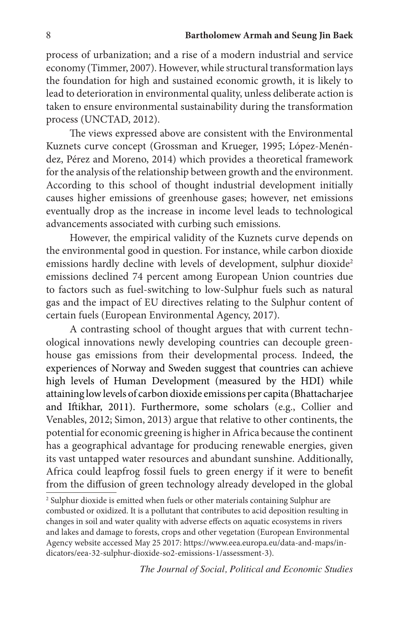process of urbanization; and a rise of a modern industrial and service economy (Timmer, 2007). However, while structural transformation lays the foundation for high and sustained economic growth, it is likely to lead to deterioration in environmental quality, unless deliberate action is taken to ensure environmental sustainability during the transformation process (UNCTAD, 2012).

The views expressed above are consistent with the Environmental Kuznets curve concept (Grossman and Krueger, 1995; López-Menéndez, Pérez and Moreno, 2014) which provides a theoretical framework for the analysis of the relationship between growth and the environment. According to this school of thought industrial development initially causes higher emissions of greenhouse gases; however, net emissions eventually drop as the increase in income level leads to technological advancements associated with curbing such emissions.

However, the empirical validity of the Kuznets curve depends on the environmental good in question. For instance, while carbon dioxide emissions hardly decline with levels of development, sulphur dioxide<sup>2</sup> emissions declined 74 percent among European Union countries due to factors such as fuel-switching to low-Sulphur fuels such as natural gas and the impact of EU directives relating to the Sulphur content of certain fuels (European Environmental Agency, 2017).

A contrasting school of thought argues that with current technological innovations newly developing countries can decouple greenhouse gas emissions from their developmental process. Indeed, the experiences of Norway and Sweden suggest that countries can achieve high levels of Human Development (measured by the HDI) while attaining low levels of carbon dioxide emissions per capita (Bhattacharjee and Iftikhar, 2011). Furthermore, some scholars (e.g., Collier and Venables, 2012; Simon, 2013) argue that relative to other continents, the potential for economic greening is higher in Africa because the continent has a geographical advantage for producing renewable energies, given its vast untapped water resources and abundant sunshine. Additionally, Africa could leapfrog fossil fuels to green energy if it were to benefit from the diffusion of green technology already developed in the global

<sup>2</sup> Sulphur dioxide is emitted when fuels or other materials containing Sulphur are combusted or oxidized. It is a pollutant that contributes to acid deposition resulting in changes in soil and water quality with adverse effects on aquatic ecosystems in rivers and lakes and damage to forests, crops and other vegetation (European Environmental Agency website accessed May 25 2017: https://www.eea.europa.eu/data-and-maps/indicators/eea-32-sulphur-dioxide-so2-emissions-1/assessment-3).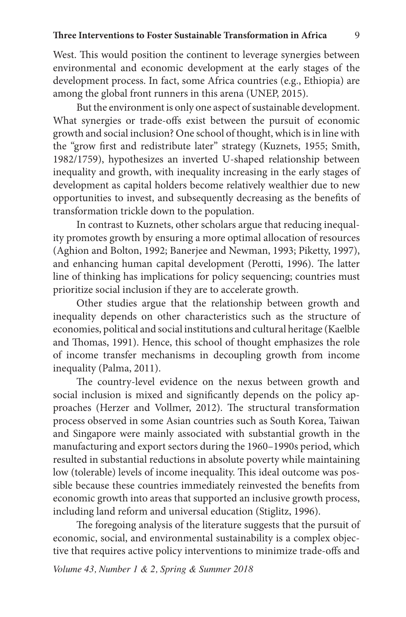West. This would position the continent to leverage synergies between environmental and economic development at the early stages of the development process. In fact, some Africa countries (e.g., Ethiopia) are among the global front runners in this arena (UNEP, 2015).

But the environment is only one aspect of sustainable development. What synergies or trade-offs exist between the pursuit of economic growth and social inclusion? One school of thought, which is in line with the "grow first and redistribute later" strategy (Kuznets, 1955; Smith, 1982/1759), hypothesizes an inverted U-shaped relationship between inequality and growth, with inequality increasing in the early stages of development as capital holders become relatively wealthier due to new opportunities to invest, and subsequently decreasing as the benefits of transformation trickle down to the population.

In contrast to Kuznets, other scholars argue that reducing inequality promotes growth by ensuring a more optimal allocation of resources (Aghion and Bolton, 1992; Banerjee and Newman, 1993; Piketty, 1997), and enhancing human capital development (Perotti, 1996). The latter line of thinking has implications for policy sequencing; countries must prioritize social inclusion if they are to accelerate growth.

Other studies argue that the relationship between growth and inequality depends on other characteristics such as the structure of economies, political and social institutions and cultural heritage (Kaelble and Thomas, 1991). Hence, this school of thought emphasizes the role of income transfer mechanisms in decoupling growth from income inequality (Palma, 2011).

The country-level evidence on the nexus between growth and social inclusion is mixed and significantly depends on the policy approaches (Herzer and Vollmer, 2012). The structural transformation process observed in some Asian countries such as South Korea, Taiwan and Singapore were mainly associated with substantial growth in the manufacturing and export sectors during the 1960–1990s period, which resulted in substantial reductions in absolute poverty while maintaining low (tolerable) levels of income inequality. This ideal outcome was possible because these countries immediately reinvested the benefits from economic growth into areas that supported an inclusive growth process, including land reform and universal education (Stiglitz, 1996).

The foregoing analysis of the literature suggests that the pursuit of economic, social, and environmental sustainability is a complex objective that requires active policy interventions to minimize trade-offs and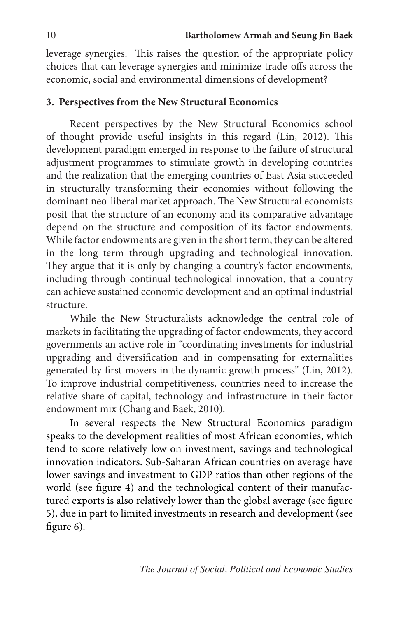leverage synergies. This raises the question of the appropriate policy choices that can leverage synergies and minimize trade-offs across the economic, social and environmental dimensions of development?

#### **3. Perspectives from the New Structural Economics**

Recent perspectives by the New Structural Economics school of thought provide useful insights in this regard (Lin, 2012). This development paradigm emerged in response to the failure of structural adjustment programmes to stimulate growth in developing countries and the realization that the emerging countries of East Asia succeeded in structurally transforming their economies without following the dominant neo-liberal market approach. The New Structural economists posit that the structure of an economy and its comparative advantage depend on the structure and composition of its factor endowments. While factor endowments are given in the short term, they can be altered in the long term through upgrading and technological innovation. They argue that it is only by changing a country's factor endowments, including through continual technological innovation, that a country can achieve sustained economic development and an optimal industrial structure.

While the New Structuralists acknowledge the central role of markets in facilitating the upgrading of factor endowments, they accord governments an active role in "coordinating investments for industrial upgrading and diversification and in compensating for externalities generated by first movers in the dynamic growth process" (Lin, 2012). To improve industrial competitiveness, countries need to increase the relative share of capital, technology and infrastructure in their factor endowment mix (Chang and Baek, 2010).

In several respects the New Structural Economics paradigm speaks to the development realities of most African economies, which tend to score relatively low on investment, savings and technological innovation indicators. Sub-Saharan African countries on average have lower savings and investment to GDP ratios than other regions of the world (see figure 4) and the technological content of their manufactured exports is also relatively lower than the global average (see figure 5), due in part to limited investments in research and development (see figure 6).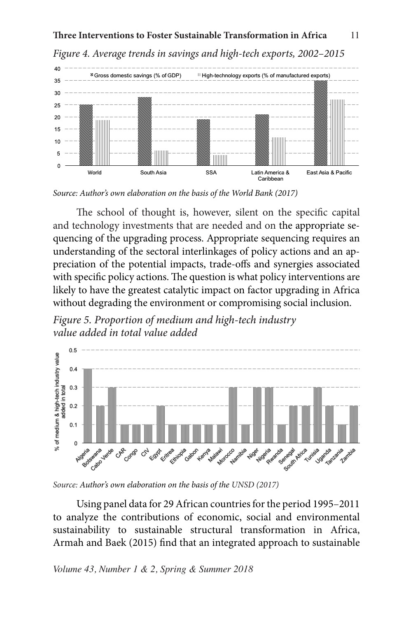



*Source: Author's own elaboration on the basis of the World Bank (2017)*

The school of thought is, however, silent on the specific capital and technology investments that are needed and on the appropriate sequencing of the upgrading process. Appropriate sequencing requires an understanding of the sectoral interlinkages of policy actions and an appreciation of the potential impacts, trade-offs and synergies associated with specific policy actions. The question is what policy interventions are likely to have the greatest catalytic impact on factor upgrading in Africa without degrading the environment or compromising social inclusion.

*Figure 5. Proportion of medium and high-tech industry value added in total value added*



*Source: Author's own elaboration on the basis of the UNSD (2017)*

Using panel data for 29 African countries for the period 1995–2011 to analyze the contributions of economic, social and environmental sustainability to sustainable structural transformation in Africa, Armah and Baek (2015) find that an integrated approach to sustainable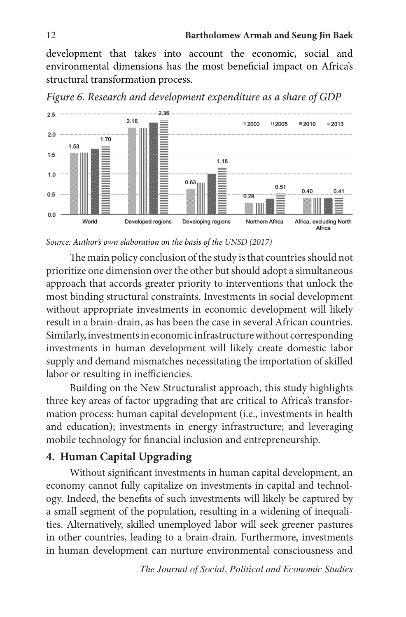development that takes into account the economic, social and environmental dimensions has the most beneficial impact on Africa's structural transformation process.



*Figure 6. Research and development expenditure as a share of GDP*

The main policy conclusion of the study is that countries should not prioritize one dimension over the other but should adopt a simultaneous approach that accords greater priority to interventions that unlock the most binding structural constraints. Investments in social development without appropriate investments in economic development will likely result in a brain-drain, as has been the case in several African countries. Similarly, investments in economic infrastructure without corresponding investments in human development will likely create domestic labor supply and demand mismatches necessitating the importation of skilled labor or resulting in inefficiencies.

Building on the New Structuralist approach, this study highlights three key areas of factor upgrading that are critical to Africa's transformation process: human capital development (i.e., investments in health and education); investments in energy infrastructure; and leveraging mobile technology for financial inclusion and entrepreneurship.

# **4. Human Capital Upgrading**

Without significant investments in human capital development, an economy cannot fully capitalize on investments in capital and technology. Indeed, the benefits of such investments will likely be captured by a small segment of the population, resulting in a widening of inequalities. Alternatively, skilled unemployed labor will seek greener pastures in other countries, leading to a brain-drain. Furthermore, investments in human development can nurture environmental consciousness and

*Source: Author's own elaboration on the basis of the UNSD (2017)*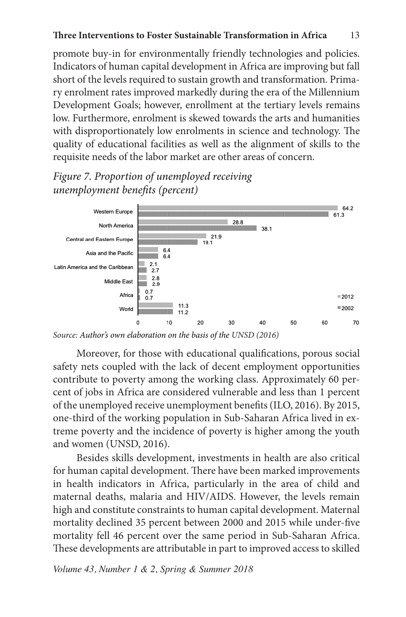#### **Three Interventions to Foster Sustainable Transformation in Africa** 13

promote buy-in for environmentally friendly technologies and policies. Indicators of human capital development in Africa are improving but fall short of the levels required to sustain growth and transformation. Primary enrolment rates improved markedly during the era of the Millennium Development Goals; however, enrollment at the tertiary levels remains low. Furthermore, enrolment is skewed towards the arts and humanities with disproportionately low enrolments in science and technology. The quality of educational facilities as well as the alignment of skills to the requisite needs of the labor market are other areas of concern.

# *Figure 7. Proportion of unemployed receiving unemployment benefits (percent)*



*Source: Author's own elaboration on the basis of the UNSD (2016)*

Moreover, for those with educational qualifications, porous social safety nets coupled with the lack of decent employment opportunities contribute to poverty among the working class. Approximately 60 percent of jobs in Africa are considered vulnerable and less than 1 percent of the unemployed receive unemployment benefits (ILO, 2016). By 2015, one-third of the working population in Sub-Saharan Africa lived in extreme poverty and the incidence of poverty is higher among the youth and women (UNSD, 2016).

Besides skills development, investments in health are also critical for human capital development. There have been marked improvements in health indicators in Africa, particularly in the area of child and maternal deaths, malaria and HIV/AIDS. However, the levels remain high and constitute constraints to human capital development. Maternal mortality declined 35 percent between 2000 and 2015 while under-five mortality fell 46 percent over the same period in Sub-Saharan Africa. These developments are attributable in part to improved access to skilled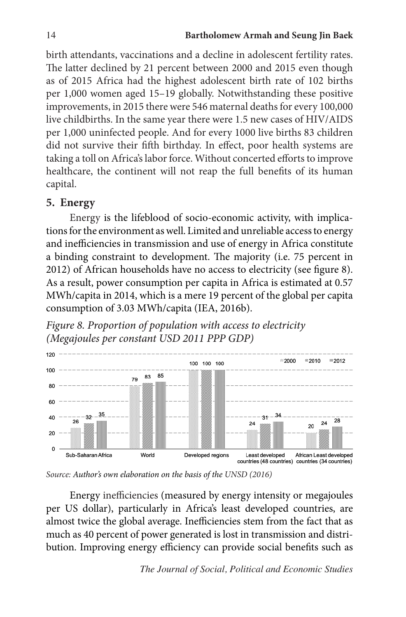birth attendants, vaccinations and a decline in adolescent fertility rates. The latter declined by 21 percent between 2000 and 2015 even though as of 2015 Africa had the highest adolescent birth rate of 102 births per 1,000 women aged 15–19 globally. Notwithstanding these positive improvements, in 2015 there were 546 maternal deaths for every 100,000 live childbirths. In the same year there were 1.5 new cases of HIV/AIDS per 1,000 uninfected people. And for every 1000 live births 83 children did not survive their fifth birthday. In effect, poor health systems are taking a toll on Africa's labor force. Without concerted efforts to improve healthcare, the continent will not reap the full benefits of its human capital.

# **5. Energy**

Energy is the lifeblood of socio-economic activity, with implications for the environment as well. Limited and unreliable access to energy and inefficiencies in transmission and use of energy in Africa constitute a binding constraint to development. The majority (i.e. 75 percent in 2012) of African households have no access to electricity (see figure 8). As a result, power consumption per capita in Africa is estimated at 0.57 MWh/capita in 2014, which is a mere 19 percent of the global per capita consumption of 3.03 MWh/capita (IEA, 2016b).

*Figure 8. Proportion of population with access to electricity (Megajoules per constant USD 2011 PPP GDP)*



*Source: Author's own elaboration on the basis of the UNSD (2016)*

Energy inefficiencies (measured by energy intensity or megajoules per US dollar), particularly in Africa's least developed countries, are almost twice the global average. Inefficiencies stem from the fact that as much as 40 percent of power generated is lost in transmission and distribution. Improving energy efficiency can provide social benefits such as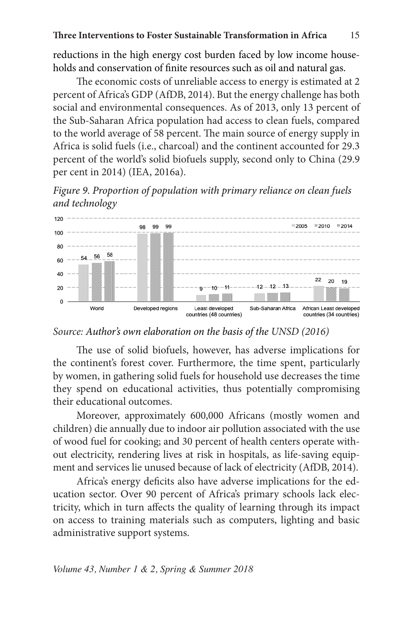reductions in the high energy cost burden faced by low income households and conservation of finite resources such as oil and natural gas.

The economic costs of unreliable access to energy is estimated at 2 percent of Africa's GDP (AfDB, 2014). But the energy challenge has both social and environmental consequences. As of 2013, only 13 percent of the Sub-Saharan Africa population had access to clean fuels, compared to the world average of 58 percent. The main source of energy supply in Africa is solid fuels (i.e., charcoal) and the continent accounted for 29.3 percent of the world's solid biofuels supply, second only to China (29.9 per cent in 2014) (IEA, 2016a).

*Figure 9. Proportion of population with primary reliance on clean fuels and technology*



*Source: Author's own elaboration on the basis of the UNSD (2016)*

The use of solid biofuels, however, has adverse implications for the continent's forest cover. Furthermore, the time spent, particularly by women, in gathering solid fuels for household use decreases the time they spend on educational activities, thus potentially compromising their educational outcomes.

Moreover, approximately 600,000 Africans (mostly women and children) die annually due to indoor air pollution associated with the use of wood fuel for cooking; and 30 percent of health centers operate without electricity, rendering lives at risk in hospitals, as life-saving equipment and services lie unused because of lack of electricity (AfDB, 2014).

Africa's energy deficits also have adverse implications for the education sector. Over 90 percent of Africa's primary schools lack electricity, which in turn affects the quality of learning through its impact on access to training materials such as computers, lighting and basic administrative support systems.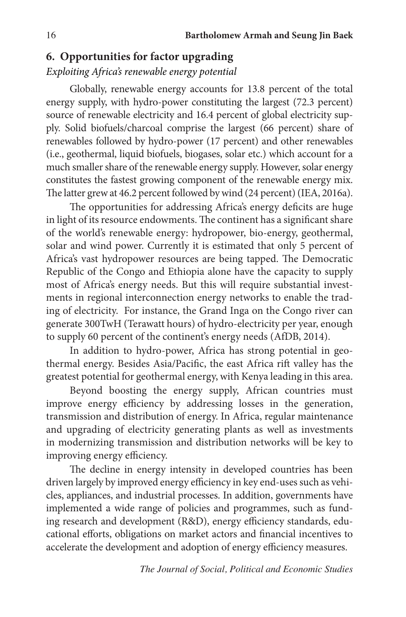### **6. Opportunities for factor upgrading**

# *Exploiting Africa's renewable energy potential*

Globally, renewable energy accounts for 13.8 percent of the total energy supply, with hydro-power constituting the largest (72.3 percent) source of renewable electricity and 16.4 percent of global electricity supply. Solid biofuels/charcoal comprise the largest (66 percent) share of renewables followed by hydro-power (17 percent) and other renewables (i.e., geothermal, liquid biofuels, biogases, solar etc.) which account for a much smaller share of the renewable energy supply. However, solar energy constitutes the fastest growing component of the renewable energy mix. The latter grew at 46.2 percent followed by wind (24 percent) (IEA, 2016a).

The opportunities for addressing Africa's energy deficits are huge in light of its resource endowments. The continent has a significant share of the world's renewable energy: hydropower, bio-energy, geothermal, solar and wind power. Currently it is estimated that only 5 percent of Africa's vast hydropower resources are being tapped. The Democratic Republic of the Congo and Ethiopia alone have the capacity to supply most of Africa's energy needs. But this will require substantial investments in regional interconnection energy networks to enable the trading of electricity. For instance, the Grand Inga on the Congo river can generate 300TwH (Terawatt hours) of hydro-electricity per year, enough to supply 60 percent of the continent's energy needs (AfDB, 2014).

In addition to hydro-power, Africa has strong potential in geothermal energy. Besides Asia/Pacific, the east Africa rift valley has the greatest potential for geothermal energy, with Kenya leading in this area.

Beyond boosting the energy supply, African countries must improve energy efficiency by addressing losses in the generation, transmission and distribution of energy. In Africa, regular maintenance and upgrading of electricity generating plants as well as investments in modernizing transmission and distribution networks will be key to improving energy efficiency.

The decline in energy intensity in developed countries has been driven largely by improved energy efficiency in key end-uses such as vehicles, appliances, and industrial processes. In addition, governments have implemented a wide range of policies and programmes, such as funding research and development (R&D), energy efficiency standards, educational efforts, obligations on market actors and financial incentives to accelerate the development and adoption of energy efficiency measures.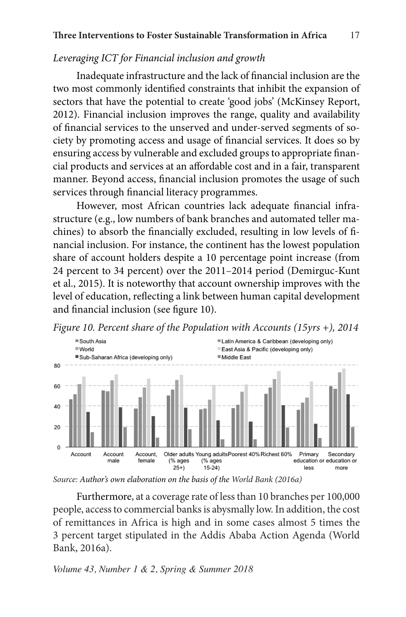#### *Leveraging ICT for Financial inclusion and growth*

Inadequate infrastructure and the lack of financial inclusion are the two most commonly identified constraints that inhibit the expansion of sectors that have the potential to create 'good jobs' (McKinsey Report, 2012). Financial inclusion improves the range, quality and availability of financial services to the unserved and under-served segments of society by promoting access and usage of financial services. It does so by ensuring access by vulnerable and excluded groups to appropriate financial products and services at an affordable cost and in a fair, transparent manner. Beyond access, financial inclusion promotes the usage of such services through financial literacy programmes.

However, most African countries lack adequate financial infrastructure (e.g., low numbers of bank branches and automated teller machines) to absorb the financially excluded, resulting in low levels of financial inclusion. For instance, the continent has the lowest population share of account holders despite a 10 percentage point increase (from 24 percent to 34 percent) over the 2011–2014 period (Demirguc-Kunt et al., 2015). It is noteworthy that account ownership improves with the level of education, reflecting a link between human capital development and financial inclusion (see figure 10).



*Figure 10. Percent share of the Population with Accounts (15yrs +), 2014*

*Source: Author's own elaboration on the basis of the World Bank (2016a)*

Furthermore, at a coverage rate of less than 10 branches per 100,000 people, access to commercial banks is abysmally low. In addition, the cost of remittances in Africa is high and in some cases almost 5 times the 3 percent target stipulated in the Addis Ababa Action Agenda (World Bank, 2016a).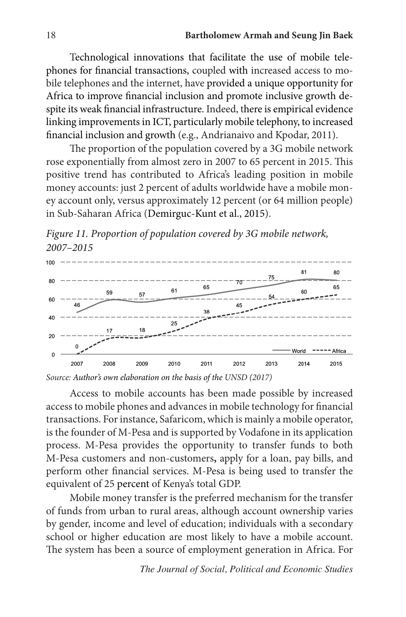Technological innovations that facilitate the use of mobile telephones for financial transactions, coupled with increased access to mobile telephones and the internet, have provided a unique opportunity for Africa to improve financial inclusion and promote inclusive growth despite its weak financial infrastructure. Indeed, there is empirical evidence linking improvements in ICT, particularly mobile telephony, to increased financial inclusion and growth (e.g., Andrianaivo and Kpodar, 2011).

The proportion of the population covered by a 3G mobile network rose exponentially from almost zero in 2007 to 65 percent in 2015. This positive trend has contributed to Africa's leading position in mobile money accounts: just 2 percent of adults worldwide have a mobile money account only, versus approximately 12 percent (or 64 million people) in Sub-Saharan Africa (Demirguc-Kunt et al., 2015).

*Figure 11. Proportion of population covered by 3G mobile network, 2007–2015*



*Source: Author's own elaboration on the basis of the UNSD (2017)*

Access to mobile accounts has been made possible by increased access to mobile phones and advances in mobile technology for financial transactions. For instance, Safaricom, which is mainly a mobile operator, is the founder of M-Pesa and is supported by Vodafone in its application process. M-Pesa provides the opportunity to transfer funds to both M-Pesa customers and non-customers**,** apply for a loan, pay bills, and perform other financial services. M-Pesa is being used to transfer the equivalent of 25 percent of Kenya's total GDP.

Mobile money transfer is the preferred mechanism for the transfer of funds from urban to rural areas, although account ownership varies by gender, income and level of education; individuals with a secondary school or higher education are most likely to have a mobile account. The system has been a source of employment generation in Africa. For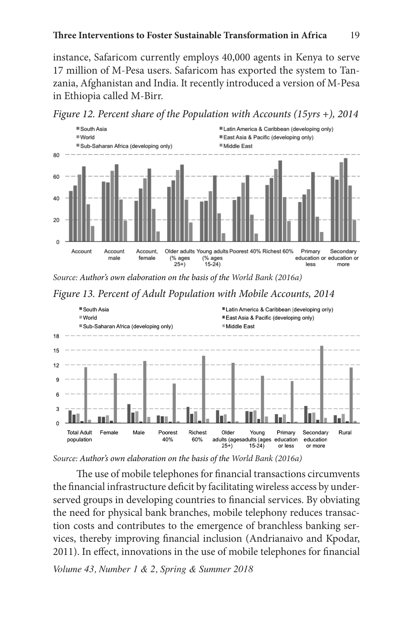instance, Safaricom currently employs 40,000 agents in Kenya to serve 17 million of M-Pesa users. Safaricom has exported the system to Tanzania, Afghanistan and India. It recently introduced a version of M-Pesa in Ethiopia called M-Birr.





*Source: Author's own elaboration on the basis of the World Bank (2016a)*

*Figure 13. Percent of Adult Population with Mobile Accounts, 2014*



*Source: Author's own elaboration on the basis of the World Bank (2016a)*

The use of mobile telephones for financial transactions circumvents the financial infrastructure deficit by facilitating wireless access by underserved groups in developing countries to financial services. By obviating the need for physical bank branches, mobile telephony reduces transaction costs and contributes to the emergence of branchless banking services, thereby improving financial inclusion (Andrianaivo and Kpodar, 2011). In effect, innovations in the use of mobile telephones for financial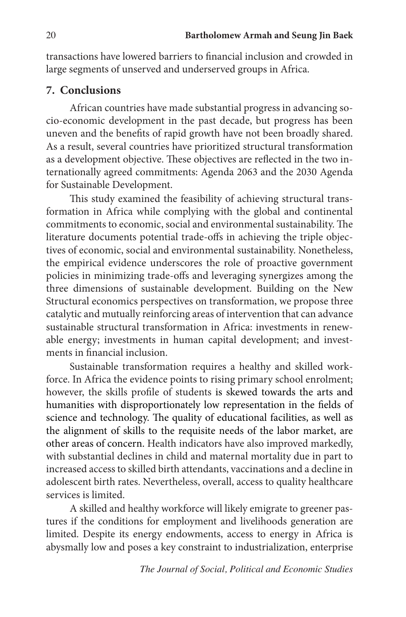transactions have lowered barriers to financial inclusion and crowded in large segments of unserved and underserved groups in Africa.

# **7. Conclusions**

African countries have made substantial progress in advancing socio-economic development in the past decade, but progress has been uneven and the benefits of rapid growth have not been broadly shared. As a result, several countries have prioritized structural transformation as a development objective. These objectives are reflected in the two internationally agreed commitments: Agenda 2063 and the 2030 Agenda for Sustainable Development.

This study examined the feasibility of achieving structural transformation in Africa while complying with the global and continental commitments to economic, social and environmental sustainability. The literature documents potential trade-offs in achieving the triple objectives of economic, social and environmental sustainability. Nonetheless, the empirical evidence underscores the role of proactive government policies in minimizing trade-offs and leveraging synergizes among the three dimensions of sustainable development. Building on the New Structural economics perspectives on transformation, we propose three catalytic and mutually reinforcing areas of intervention that can advance sustainable structural transformation in Africa: investments in renewable energy; investments in human capital development; and investments in financial inclusion.

Sustainable transformation requires a healthy and skilled workforce. In Africa the evidence points to rising primary school enrolment; however, the skills profile of students is skewed towards the arts and humanities with disproportionately low representation in the fields of science and technology. The quality of educational facilities, as well as the alignment of skills to the requisite needs of the labor market, are other areas of concern. Health indicators have also improved markedly, with substantial declines in child and maternal mortality due in part to increased access to skilled birth attendants, vaccinations and a decline in adolescent birth rates. Nevertheless, overall, access to quality healthcare services is limited.

A skilled and healthy workforce will likely emigrate to greener pastures if the conditions for employment and livelihoods generation are limited. Despite its energy endowments, access to energy in Africa is abysmally low and poses a key constraint to industrialization, enterprise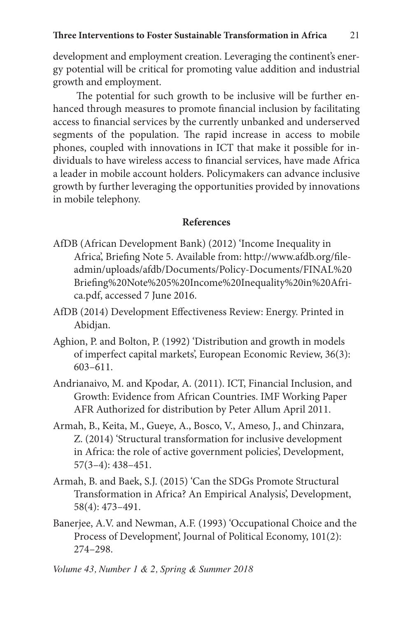development and employment creation. Leveraging the continent's energy potential will be critical for promoting value addition and industrial growth and employment.

The potential for such growth to be inclusive will be further enhanced through measures to promote financial inclusion by facilitating access to financial services by the currently unbanked and underserved segments of the population. The rapid increase in access to mobile phones, coupled with innovations in ICT that make it possible for individuals to have wireless access to financial services, have made Africa a leader in mobile account holders. Policymakers can advance inclusive growth by further leveraging the opportunities provided by innovations in mobile telephony.

#### **References**

- AfDB (African Development Bank) (2012) 'Income Inequality in Africa', Briefing Note 5. Available from: http://www.afdb.org/fileadmin/uploads/afdb/Documents/Policy-Documents/FINAL%20 Briefing%20Note%205%20Income%20Inequality%20in%20Africa.pdf, accessed 7 June 2016.
- AfDB (2014) Development Effectiveness Review: Energy. Printed in Abidjan.
- Aghion, P. and Bolton, P. (1992) 'Distribution and growth in models of imperfect capital markets', European Economic Review, 36(3): 603–611.
- Andrianaivo, M. and Kpodar, A. (2011). ICT, Financial Inclusion, and Growth: Evidence from African Countries. IMF Working Paper AFR Authorized for distribution by Peter Allum April 2011.
- Armah, B., Keita, M., Gueye, A., Bosco, V., Ameso, J., and Chinzara, Z. (2014) 'Structural transformation for inclusive development in Africa: the role of active government policies', Development, 57(3–4): 438–451.
- Armah, B. and Baek, S.J. (2015) 'Can the SDGs Promote Structural Transformation in Africa? An Empirical Analysis', Development, 58(4): 473–491.
- Banerjee, A.V. and Newman, A.F. (1993) 'Occupational Choice and the Process of Development', Journal of Political Economy, 101(2): 274–298.
- *Volume 43, Number 1 & 2, Spring & Summer 2018*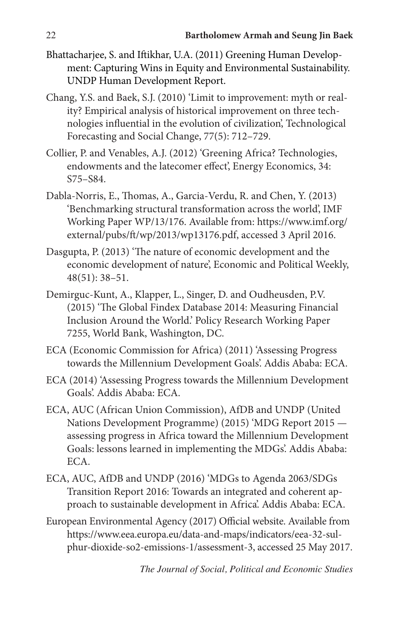- Bhattacharjee, S. and Iftikhar, U.A. (2011) Greening Human Development: Capturing Wins in Equity and Environmental Sustainability. UNDP Human Development Report.
- Chang, Y.S. and Baek, S.J. (2010) 'Limit to improvement: myth or reality? Empirical analysis of historical improvement on three technologies influential in the evolution of civilization', Technological Forecasting and Social Change, 77(5): 712–729.
- Collier, P. and Venables, A.J. (2012) 'Greening Africa? Technologies, endowments and the latecomer effect', Energy Economics, 34: S75–S84.
- Dabla-Norris, E., Thomas, A., Garcia-Verdu, R. and Chen, Y. (2013) 'Benchmarking structural transformation across the world', IMF Working Paper WP/13/176. Available from: https://www.imf.org/ external/pubs/ft/wp/2013/wp13176.pdf, accessed 3 April 2016.
- Dasgupta, P. (2013) 'The nature of economic development and the economic development of nature', Economic and Political Weekly, 48(51): 38–51.
- Demirguc-Kunt, A., Klapper, L., Singer, D. and Oudheusden, P.V. (2015) 'The Global Findex Database 2014: Measuring Financial Inclusion Around the World.' Policy Research Working Paper 7255, World Bank, Washington, DC.
- ECA (Economic Commission for Africa) (2011) 'Assessing Progress towards the Millennium Development Goals'. Addis Ababa: ECA.
- ECA (2014) 'Assessing Progress towards the Millennium Development Goals'. Addis Ababa: ECA.
- ECA, AUC (African Union Commission), AfDB and UNDP (United Nations Development Programme) (2015) 'MDG Report 2015 assessing progress in Africa toward the Millennium Development Goals: lessons learned in implementing the MDGs'. Addis Ababa: ECA.
- ECA, AUC, AfDB and UNDP (2016) 'MDGs to Agenda 2063/SDGs Transition Report 2016: Towards an integrated and coherent approach to sustainable development in Africa'. Addis Ababa: ECA.
- European Environmental Agency (2017) Official website. Available from https://www.eea.europa.eu/data-and-maps/indicators/eea-32-sulphur-dioxide-so2-emissions-1/assessment-3, accessed 25 May 2017.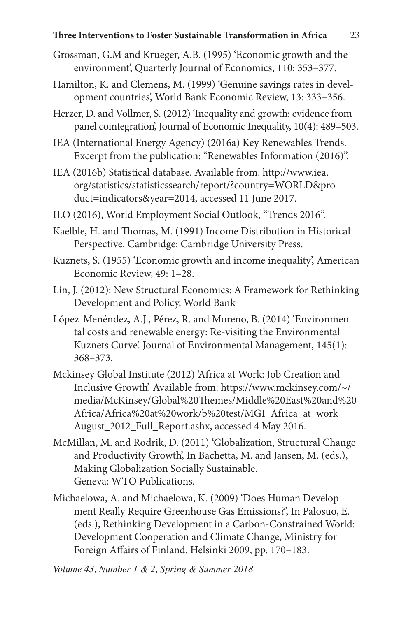#### **Three Interventions to Foster Sustainable Transformation in Africa** 23

- Grossman, G.M and Krueger, A.B. (1995) 'Economic growth and the environment', Quarterly Journal of Economics, 110: 353–377.
- Hamilton, K. and Clemens, M. (1999) 'Genuine savings rates in development countries', World Bank Economic Review, 13: 333–356.
- Herzer, D. and Vollmer, S. (2012) 'Inequality and growth: evidence from panel cointegration', Journal of Economic Inequality, 10(4): 489–503.
- IEA (International Energy Agency) (2016a) Key Renewables Trends. Excerpt from the publication: "Renewables Information (2016)".
- IEA (2016b) Statistical database. Available from: http://www.iea. org/statistics/statisticssearch/report/?country=WORLD&product=indicators&year=2014, accessed 11 June 2017.
- ILO (2016), World Employment Social Outlook, "Trends 2016".
- Kaelble, H. and Thomas, M. (1991) Income Distribution in Historical Perspective. Cambridge: Cambridge University Press.
- Kuznets, S. (1955) 'Economic growth and income inequality', American Economic Review, 49: 1–28.
- Lin, J. (2012): New Structural Economics: A Framework for Rethinking Development and Policy, World Bank
- López-Menéndez, A.J., Pérez, R. and Moreno, B. (2014) 'Environmental costs and renewable energy: Re-visiting the Environmental Kuznets Curve'. Journal of Environmental Management, 145(1): 368–373.
- Mckinsey Global Institute (2012) 'Africa at Work: Job Creation and Inclusive Growth'. Available from: https://www.mckinsey.com/~/ media/McKinsey/Global%20Themes/Middle%20East%20and%20 Africa/Africa%20at%20work/b%20test/MGI\_Africa\_at\_work\_ August\_2012\_Full\_Report.ashx, accessed 4 May 2016.
- McMillan, M. and Rodrik, D. (2011) 'Globalization, Structural Change and Productivity Growth', In Bachetta, M. and Jansen, M. (eds.), Making Globalization Socially Sustainable. Geneva: WTO Publications.
- Michaelowa, A. and Michaelowa, K. (2009) 'Does Human Development Really Require Greenhouse Gas Emissions?', In Palosuo, E. (eds.), Rethinking Development in a Carbon-Constrained World: Development Cooperation and Climate Change, Ministry for Foreign Affairs of Finland, Helsinki 2009, pp. 170–183.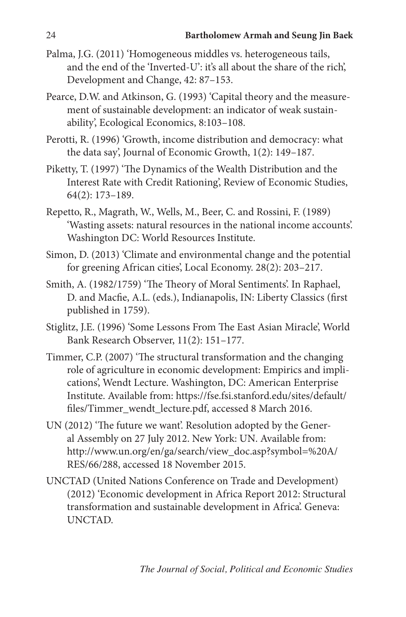- Palma, J.G. (2011) 'Homogeneous middles vs. heterogeneous tails, and the end of the 'Inverted-U': it's all about the share of the rich', Development and Change, 42: 87–153.
- Pearce, D.W. and Atkinson, G. (1993) 'Capital theory and the measurement of sustainable development: an indicator of weak sustainability', Ecological Economics, 8:103–108.
- Perotti, R. (1996) 'Growth, income distribution and democracy: what the data say', Journal of Economic Growth, 1(2): 149–187.
- Piketty, T. (1997) 'The Dynamics of the Wealth Distribution and the Interest Rate with Credit Rationing', Review of Economic Studies, 64(2): 173–189.
- Repetto, R., Magrath, W., Wells, M., Beer, C. and Rossini, F. (1989) 'Wasting assets: natural resources in the national income accounts'. Washington DC: World Resources Institute.
- Simon, D. (2013) 'Climate and environmental change and the potential for greening African cities', Local Economy. 28(2): 203–217.
- Smith, A. (1982/1759) 'The Theory of Moral Sentiments'. In Raphael, D. and Macfie, A.L. (eds.), Indianapolis, IN: Liberty Classics (first published in 1759).
- Stiglitz, J.E. (1996) 'Some Lessons From The East Asian Miracle', World Bank Research Observer, 11(2): 151–177.
- Timmer, C.P. (2007) 'The structural transformation and the changing role of agriculture in economic development: Empirics and implications', Wendt Lecture. Washington, DC: American Enterprise Institute. Available from: https://fse.fsi.stanford.edu/sites/default/ files/Timmer\_wendt\_lecture.pdf, accessed 8 March 2016.
- UN (2012) 'The future we want'. Resolution adopted by the General Assembly on 27 July 2012. New York: UN. Available from: http://www.un.org/en/ga/search/view\_doc.asp?symbol=%20A/ RES/66/288, accessed 18 November 2015.
- UNCTAD (United Nations Conference on Trade and Development) (2012) 'Economic development in Africa Report 2012: Structural transformation and sustainable development in Africa'. Geneva: UNCTAD.